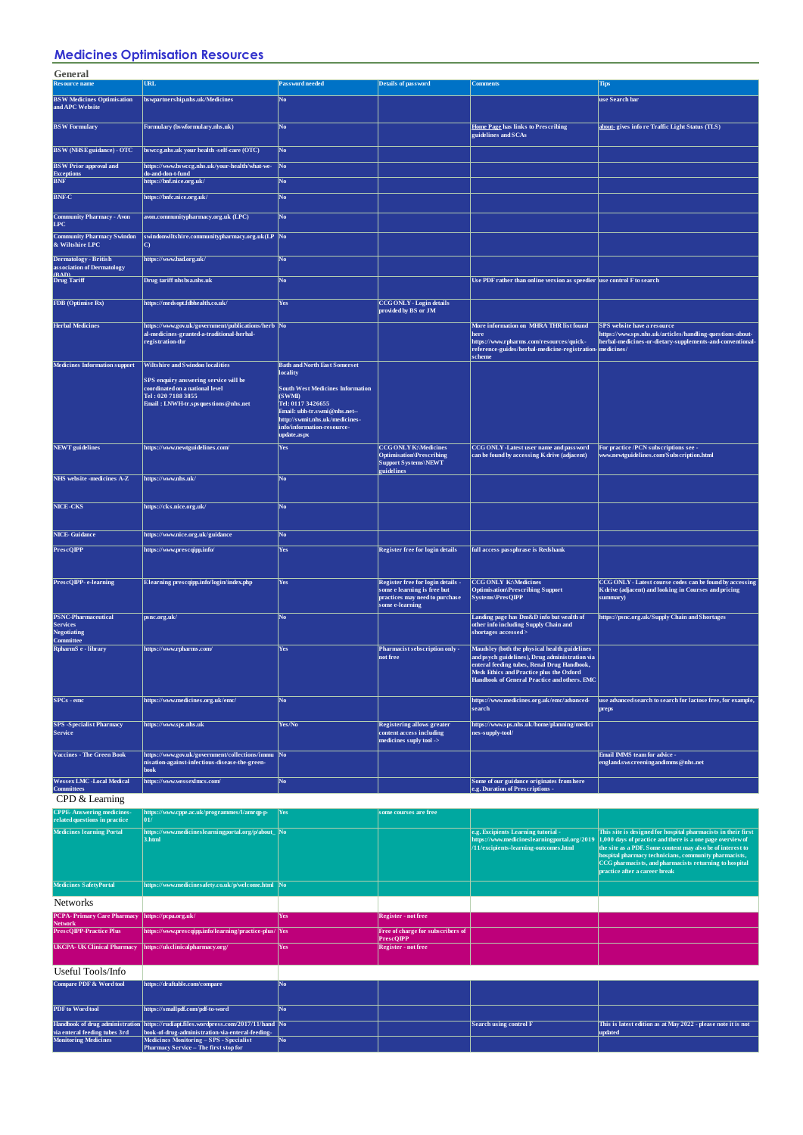## **Medicines Optimisation Resources**

| General                                                                          |                                                                                                                                        |                                                                                                                                                                                        |                                                                                                                       |                                                                                                                                                                                            |                                                                                                                                                                                                                                                                                            |
|----------------------------------------------------------------------------------|----------------------------------------------------------------------------------------------------------------------------------------|----------------------------------------------------------------------------------------------------------------------------------------------------------------------------------------|-----------------------------------------------------------------------------------------------------------------------|--------------------------------------------------------------------------------------------------------------------------------------------------------------------------------------------|--------------------------------------------------------------------------------------------------------------------------------------------------------------------------------------------------------------------------------------------------------------------------------------------|
| <b>Resource name</b>                                                             | <b>URL</b>                                                                                                                             | Pass word needed                                                                                                                                                                       | <b>Details of password</b>                                                                                            | <b>Comments</b>                                                                                                                                                                            | Tips                                                                                                                                                                                                                                                                                       |
| <b>BSW Medicines Optimisation</b><br>and APC Website                             | bs wpartners hip.nhs .uk/Medicines                                                                                                     | No                                                                                                                                                                                     |                                                                                                                       |                                                                                                                                                                                            | use Search bar                                                                                                                                                                                                                                                                             |
| <b>BSW</b> Formulary                                                             | Formulary (bswformulary.nhs.uk)                                                                                                        | $\bf No$                                                                                                                                                                               |                                                                                                                       | Home Page has links to Prescribing<br>guidelines and SCAs                                                                                                                                  | about- gives info re Traffic Light Status (TLS)                                                                                                                                                                                                                                            |
| <b>BSW</b> (NHSE guidance) - OTC                                                 | bsweeg.nhs.uk your health -self-care (OTC)                                                                                             | No.                                                                                                                                                                                    |                                                                                                                       |                                                                                                                                                                                            |                                                                                                                                                                                                                                                                                            |
| <b>BSW</b> Prior approval and                                                    | https://www.bswccg.nhs.uk/your-health/what-we-                                                                                         | $\sqrt{\frac{1}{10}}$                                                                                                                                                                  |                                                                                                                       |                                                                                                                                                                                            |                                                                                                                                                                                                                                                                                            |
| Exceptions<br>BNF                                                                | do-and-don-t-fund<br>https://bnf.nice.org.uk/                                                                                          | No.                                                                                                                                                                                    |                                                                                                                       |                                                                                                                                                                                            |                                                                                                                                                                                                                                                                                            |
| <b>BNF-C</b>                                                                     | https://bnfc.nice.org.uk/                                                                                                              | No.                                                                                                                                                                                    |                                                                                                                       |                                                                                                                                                                                            |                                                                                                                                                                                                                                                                                            |
| <b>Community Pharmacy - Avon</b><br>LPC                                          | avon.communitypharmacy.org.uk (LPC)                                                                                                    | No                                                                                                                                                                                     |                                                                                                                       |                                                                                                                                                                                            |                                                                                                                                                                                                                                                                                            |
| <b>Community Pharmacy Swindon</b><br>& Wiltshire LPC                             | swindonwiltshire.communitypharmacy.org.uk(LP No<br>O                                                                                   |                                                                                                                                                                                        |                                                                                                                       |                                                                                                                                                                                            |                                                                                                                                                                                                                                                                                            |
| <b>Dermatology - British</b><br>association of Dermatology                       | https://www.bad.org.uk/                                                                                                                | No.                                                                                                                                                                                    |                                                                                                                       |                                                                                                                                                                                            |                                                                                                                                                                                                                                                                                            |
| <b><i><u>(BAD)</u></i></b><br>Drug Tariff                                        | Drug tariff nhs bsa.nhs.uk                                                                                                             | No.                                                                                                                                                                                    |                                                                                                                       | Use PDF rather than online version as speedier use control F to search                                                                                                                     |                                                                                                                                                                                                                                                                                            |
| <b>FDB</b> (Optimise Rx)                                                         | https://medsopt.fdbhealth.co.uk/                                                                                                       | Yes                                                                                                                                                                                    | CCG ONLY - Login details<br>provided by BS or JM                                                                      |                                                                                                                                                                                            |                                                                                                                                                                                                                                                                                            |
| <b>Herbal Medicines</b>                                                          | https://www.gov.uk/government/publications/herb No                                                                                     |                                                                                                                                                                                        |                                                                                                                       | More information on MHRA THR list found                                                                                                                                                    | SPS website have a resource                                                                                                                                                                                                                                                                |
|                                                                                  | al-medicines-granted-a-traditional-herbal-<br>registration-thr                                                                         |                                                                                                                                                                                        |                                                                                                                       | here<br>https://www.rpharms.com/resources/quick-<br>reference-guides/herbal-medicine-registration-medicines/                                                                               | https://www.sps.nhs.uk/articles/handling-questions-about-<br>herbal-medicines-or-dietary-supplements-and-conventional-                                                                                                                                                                     |
| <b>Medicines Information support</b>                                             | <b>Wiltshire and Swindon localities</b>                                                                                                | <b>Bath and North East Somerset</b><br>locality                                                                                                                                        |                                                                                                                       | scheme                                                                                                                                                                                     |                                                                                                                                                                                                                                                                                            |
|                                                                                  | SPS enquiry answering service will be<br>coordinated on a national level<br>Tel: 020 7188 3855<br>Email: LNWH-tr.sps questions@nhs.net | <b>South West Medicines Information</b><br>(SWMIL)<br>Tel: 0117 3426655<br>Email: ubh-tr.swmi@nhs.net--<br>http://swmit.nhs.uk/medicines-<br>info/information-resource-<br>update.aspx |                                                                                                                       |                                                                                                                                                                                            |                                                                                                                                                                                                                                                                                            |
| <b>NEWT</b> guidelines                                                           | https://www.newtguidelines.com/                                                                                                        | Yes                                                                                                                                                                                    | <b>CCG ONLY K:\Medicines</b><br><b>Optimisation</b> \Prescribing<br>Support Systems\NEWT<br>guidelines                | CCG ONLY-Latest user name and password<br>can be found by accessing K drive (adjacent)                                                                                                     | For practice /PCN subscriptions see -<br>www.newtguidelines.com/Subscription.html                                                                                                                                                                                                          |
| NHS website -medicines A-Z                                                       | https://www.nhs.uk/                                                                                                                    | No.                                                                                                                                                                                    |                                                                                                                       |                                                                                                                                                                                            |                                                                                                                                                                                                                                                                                            |
| NICE-CKS                                                                         | https://cks.nice.org.uk/                                                                                                               | No.                                                                                                                                                                                    |                                                                                                                       |                                                                                                                                                                                            |                                                                                                                                                                                                                                                                                            |
| <b>NICE</b> Guidance                                                             | https://www.nice.org.uk/guidance                                                                                                       | No.                                                                                                                                                                                    |                                                                                                                       |                                                                                                                                                                                            |                                                                                                                                                                                                                                                                                            |
| <b>PrescQIPP</b>                                                                 | https://www.prescqipp.info/                                                                                                            | Yes                                                                                                                                                                                    | <b>Register free for login details</b>                                                                                | full access passphrase is Redshank                                                                                                                                                         |                                                                                                                                                                                                                                                                                            |
|                                                                                  |                                                                                                                                        |                                                                                                                                                                                        |                                                                                                                       |                                                                                                                                                                                            |                                                                                                                                                                                                                                                                                            |
| PrescQIPP-e-learning                                                             | Elearning prescqipp.info/login/index.php                                                                                               | Yes                                                                                                                                                                                    | Register free for login details -<br>some e learning is free but<br>practices may need to purchase<br>some e-learning | <b>CCG ONLY K:\Medicines</b><br><b>Optimisation\Prescribing Support</b><br>Systems\PresQIPP                                                                                                | CCG ONLY - Latest course codes can be found by accessing<br>K drive (adjacent) and looking in Courses and pricing<br>summary)                                                                                                                                                              |
| <b>PSNC-Pharmaceutical</b><br><b>Services</b><br><b>Negotiating</b><br>Committee | psnc.org.uk/                                                                                                                           | No.                                                                                                                                                                                    |                                                                                                                       | Landing page has Dm&D info but wealth of<br>other info including Supply Chain and<br>shortages accessed>                                                                                   | https://psnc.org.uk/Supply Chain and Shortages                                                                                                                                                                                                                                             |
| RpharmS e - library                                                              | https://www.rpharms.com/                                                                                                               | Yes                                                                                                                                                                                    | Pharmacist sebscription only -<br>not free                                                                            | Maudsley (both the physical health guidelines<br>and psych guidelines), Drug administration via<br>enteral feeding tubes, Renal Drug Handbook,<br>Meds Ethics and Practice plus the Oxford |                                                                                                                                                                                                                                                                                            |
|                                                                                  |                                                                                                                                        |                                                                                                                                                                                        |                                                                                                                       | Handbook of General Practice and others. EMC                                                                                                                                               |                                                                                                                                                                                                                                                                                            |
| $SPCs$ - emc                                                                     | https://www.medicines.org.uk/emc/                                                                                                      | No.                                                                                                                                                                                    |                                                                                                                       | https://www.medicines.org.uk/emc/advanced-<br>search                                                                                                                                       | use advanced search to search for lactose free, for example,<br>preps                                                                                                                                                                                                                      |
| <b>SPS</b> -Specialist Pharmacy<br>Service                                       | https://www.sps.nhs.uk                                                                                                                 | Yes/No                                                                                                                                                                                 | <b>Registering allows greater</b><br>content access including<br>medicines suply tool ->                              | https://www.sps.nhs.uk/home/planning/medici<br>nes-supply-tool/                                                                                                                            |                                                                                                                                                                                                                                                                                            |
| <b>Vaccines - The Green Book</b>                                                 | https://www.gov.uk/government/collections/immu No<br>nisation-against-infectious-disease-the-green-<br>book                            |                                                                                                                                                                                        |                                                                                                                       |                                                                                                                                                                                            | Email IMMS team for advice -<br>england.s wscreening and imms@nhs.net                                                                                                                                                                                                                      |
| <b>Wessex LMC -Local Medical</b>                                                 | https://www.wessexlmcs.com/                                                                                                            | No.                                                                                                                                                                                    |                                                                                                                       | Some of our guidance originates from here                                                                                                                                                  |                                                                                                                                                                                                                                                                                            |
| <b>Committees</b><br>CPD & Learning                                              |                                                                                                                                        |                                                                                                                                                                                        |                                                                                                                       | e.g. Duration of Prescriptions -                                                                                                                                                           |                                                                                                                                                                                                                                                                                            |
| <b>CPPE-Answering medicines-</b>                                                 | https://www.cppe.ac.uk/programmes/l/amrqp-p-                                                                                           | Yes                                                                                                                                                                                    | some courses are free                                                                                                 |                                                                                                                                                                                            |                                                                                                                                                                                                                                                                                            |
| related questions in practice<br><b>Medicines learning Portal</b>                | 01/<br>https://www.medicineslearningportal.org/p/about_ No                                                                             |                                                                                                                                                                                        |                                                                                                                       | e.g. Excipients Learning tutorial -                                                                                                                                                        | This site is designed for hospital pharmacists in their first                                                                                                                                                                                                                              |
|                                                                                  | 3.html                                                                                                                                 |                                                                                                                                                                                        |                                                                                                                       | https://www.medicineslearningportal.org/2019<br>/11/excipients-learning-outcomes.html                                                                                                      | $\vert 1,000 \vert$ days of practice and there is a one page overview of<br>the site as a PDF. Some content may also be of interest to<br>hospital pharmacy technicians, community pharmacists,<br>CCG pharmacists, and pharmacists returning to hospital<br>practice after a career break |
| <b>Medicines SafetyPortal</b>                                                    | https://www.medicinesafety.co.uk/p/welcome.html No                                                                                     |                                                                                                                                                                                        |                                                                                                                       |                                                                                                                                                                                            |                                                                                                                                                                                                                                                                                            |
| Networks                                                                         |                                                                                                                                        |                                                                                                                                                                                        |                                                                                                                       |                                                                                                                                                                                            |                                                                                                                                                                                                                                                                                            |
| PCPA-Primary Care Pharmacy   https://pcpa.org.uk/                                |                                                                                                                                        | Yes                                                                                                                                                                                    | <b>Register</b> - not free                                                                                            |                                                                                                                                                                                            |                                                                                                                                                                                                                                                                                            |
| <b>Network</b><br><b>PrescQIPP-Practice Plus</b>                                 | https://www.prescqipp.info/learning/practice-plus/ Yes                                                                                 |                                                                                                                                                                                        | Free of charge for subscribers of                                                                                     |                                                                                                                                                                                            |                                                                                                                                                                                                                                                                                            |
| UKCPA- UK Clinical Pharmacy   https://ukclinicalpharmacy.org/                    |                                                                                                                                        | Yes                                                                                                                                                                                    | <b>PrescOIPP</b><br><b>Register - not free</b>                                                                        |                                                                                                                                                                                            |                                                                                                                                                                                                                                                                                            |
| Useful Tools/Info                                                                |                                                                                                                                        |                                                                                                                                                                                        |                                                                                                                       |                                                                                                                                                                                            |                                                                                                                                                                                                                                                                                            |
| <b>Compare PDF &amp; Word tool</b>                                               | https://draftable.com/compare                                                                                                          | No                                                                                                                                                                                     |                                                                                                                       |                                                                                                                                                                                            |                                                                                                                                                                                                                                                                                            |

**PDF to Word tool <https://smallpdf.com/pdf-to-word> No Handbook of drug administration via enteral feeding tubes 3rd [https://rudiapt.files.wordpress.com/2017/11/hand](https://rudiapt.files.wordpress.com/2017/11/handbook-of-drug-administration-via-enteral-feeding-tubes-2015.pdf) [book-of-drug-administration-via-enteral-feeding-](https://rudiapt.files.wordpress.com/2017/11/handbook-of-drug-administration-via-enteral-feeding-tubes-2015.pdf)Monitoring Medicines [Medicines Monitoring – SPS - Specialist](https://www.sps.nhs.uk/home/guidance/drug-monitoring/)  [Pharmacy Service – The first stop for](https://www.sps.nhs.uk/home/guidance/drug-monitoring/)  No No Search using control F This is latest edition as at May 2022 - please note it is not updated**